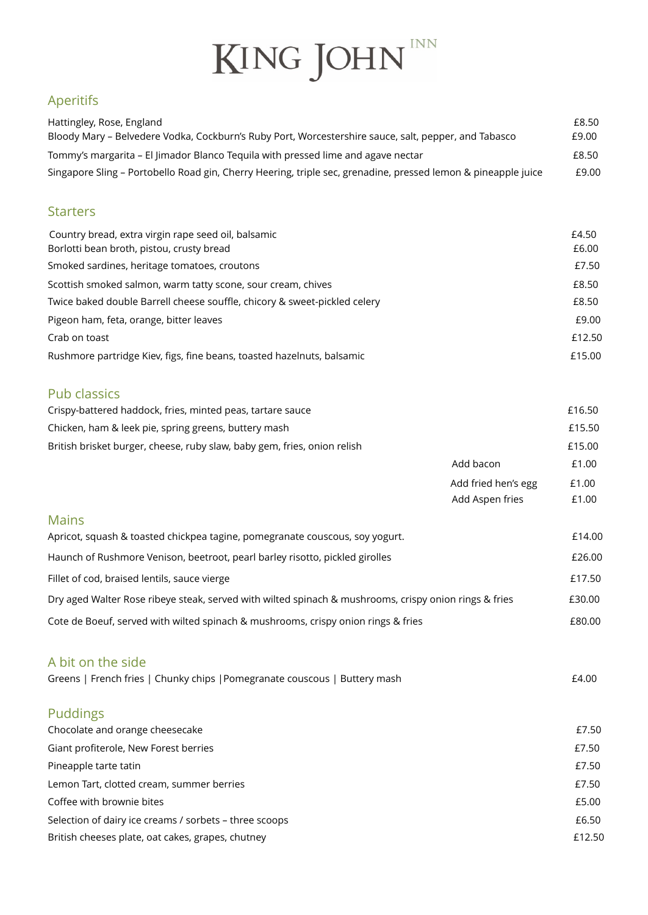# KING JOHN

### Aperitifs

| Hattingley, Rose, England                                                                                     | £8.50 |
|---------------------------------------------------------------------------------------------------------------|-------|
| Bloody Mary - Belvedere Vodka, Cockburn's Ruby Port, Worcestershire sauce, salt, pepper, and Tabasco          | £9.00 |
| Tommy's margarita – El limador Blanco Tequila with pressed lime and agave nectar                              | £8.50 |
| Singapore Sling - Portobello Road gin, Cherry Heering, triple sec, grenadine, pressed lemon & pineapple juice | £9.00 |

#### **Starters**

| Country bread, extra virgin rape seed oil, balsamic<br>Borlotti bean broth, pistou, crusty bread | £4.50<br>£6.00 |
|--------------------------------------------------------------------------------------------------|----------------|
| Smoked sardines, heritage tomatoes, croutons                                                     | £7.50          |
| Scottish smoked salmon, warm tatty scone, sour cream, chives                                     | £8.50          |
| Twice baked double Barrell cheese souffle, chicory & sweet-pickled celery                        | £8.50          |
| Pigeon ham, feta, orange, bitter leaves                                                          | £9.00          |
| Crab on toast                                                                                    | £12.50         |
| Rushmore partridge Kiev, figs, fine beans, toasted hazelnuts, balsamic                           | £15.00         |

#### Pub classics

| Crispy-battered haddock, fries, minted peas, tartare sauce               |                     | £16.50 |
|--------------------------------------------------------------------------|---------------------|--------|
| Chicken, ham & leek pie, spring greens, buttery mash                     |                     | £15.50 |
| British brisket burger, cheese, ruby slaw, baby gem, fries, onion relish |                     | £15.00 |
|                                                                          | Add bacon           | £1.00  |
|                                                                          | Add fried hen's egg | £1.00  |

|                                                                                                       | Add Aspen fries | £1.00  |
|-------------------------------------------------------------------------------------------------------|-----------------|--------|
| <b>Mains</b>                                                                                          |                 |        |
| Apricot, squash & toasted chickpea tagine, pomegranate couscous, soy yogurt.                          |                 | £14.00 |
| Haunch of Rushmore Venison, beetroot, pearl barley risotto, pickled girolles                          |                 | £26.00 |
| Fillet of cod, braised lentils, sauce vierge                                                          |                 | £17.50 |
| Dry aged Walter Rose ribeye steak, served with wilted spinach & mushrooms, crispy onion rings & fries |                 | £30.00 |
| Cote de Boeuf, served with wilted spinach & mushrooms, crispy onion rings & fries                     |                 | £80.00 |

## A bit on the side

| Greens   French fries   Chunky chips   Pomegranate couscous   Buttery mash | £4.00 |
|----------------------------------------------------------------------------|-------|
| <b>Puddings</b>                                                            |       |
| Chocolate and orange cheesecake                                            | £7.50 |
| Giant profiterole, New Forest berries                                      | £7.50 |
| Pineapple tarte tatin                                                      | £7.50 |
| Lemon Tart, clotted cream, summer berries                                  | £7.50 |
| Coffee with brownie bites                                                  | £5.00 |

Selection of dairy ice creams / sorbets – three scoops £6.50 British cheeses plate, oat cakes, grapes, chutney **British cheeses** plate, oat cakes, grapes, chutney